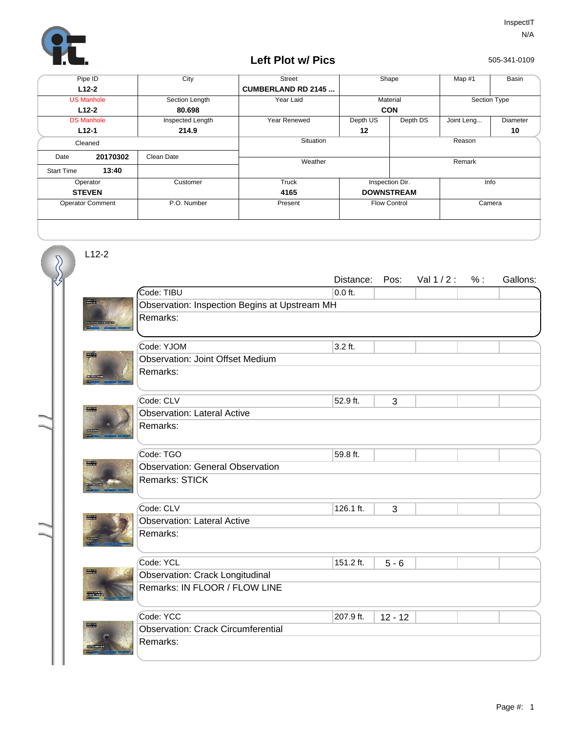

## **Left Plot w/ Pics**

505-341-0109

| Pipe ID                 |          | City             | <b>Street</b>             | Shape               |                         | Map #1       | Basin    |  |
|-------------------------|----------|------------------|---------------------------|---------------------|-------------------------|--------------|----------|--|
| $L12-2$                 |          |                  | <b>CUMBERLAND RD 2145</b> |                     |                         |              |          |  |
| <b>US Manhole</b>       |          | Section Length   | Year Laid                 | Material            |                         | Section Type |          |  |
| $L12-2$                 |          | 80.698           |                           | <b>CON</b>          |                         |              |          |  |
| <b>DS Manhole</b>       |          | Inspected Length | Year Renewed              | Depth US            | Depth DS                | Joint Leng   | Diameter |  |
|                         | $L12-1$  | 214.9            |                           | 12                  |                         |              | 10       |  |
| Cleaned                 |          |                  | Situation                 |                     |                         | Reason       |          |  |
| Date                    | 20170302 | Clean Date       |                           |                     |                         |              |          |  |
|                         |          |                  | Weather                   |                     |                         | Remark       |          |  |
| <b>Start Time</b>       | 13:40    |                  |                           |                     |                         |              |          |  |
| Operator                |          | Customer         | Truck                     |                     | Inspection Dir.<br>Info |              |          |  |
| <b>STEVEN</b>           |          |                  | 4165                      | <b>DOWNSTREAM</b>   |                         |              |          |  |
| <b>Operator Comment</b> |          | P.O. Number      | Present                   | <b>Flow Control</b> |                         | Camera       |          |  |
|                         |          |                  |                           |                     |                         |              |          |  |
|                         |          |                  |                           |                     |                         |              |          |  |

L12-2

 $\overline{\mathcal{S}}$ 

|               |                                               | Distance: | Pos:      | Val 1/2: | % : | Gallons: |  |  |  |
|---------------|-----------------------------------------------|-----------|-----------|----------|-----|----------|--|--|--|
|               | Code: TIBU                                    | $0.0$ ft. |           |          |     |          |  |  |  |
|               | Observation: Inspection Begins at Upstream MH |           |           |          |     |          |  |  |  |
|               | Remarks:                                      |           |           |          |     |          |  |  |  |
|               |                                               |           |           |          |     |          |  |  |  |
|               | Code: YJOM                                    | $3.2$ ft. |           |          |     |          |  |  |  |
| ESTAT         | <b>Observation: Joint Offset Medium</b>       |           |           |          |     |          |  |  |  |
|               | Remarks:                                      |           |           |          |     |          |  |  |  |
|               | Code: CLV                                     | 52.9 ft.  | 3         |          |     |          |  |  |  |
| <b>Reader</b> | <b>Observation: Lateral Active</b>            |           |           |          |     |          |  |  |  |
|               | Remarks:                                      |           |           |          |     |          |  |  |  |
|               |                                               |           |           |          |     |          |  |  |  |
|               | Code: TGO                                     | 59.8 ft.  |           |          |     |          |  |  |  |
|               | <b>Observation: General Observation</b>       |           |           |          |     |          |  |  |  |
|               | Remarks: STICK                                |           |           |          |     |          |  |  |  |
|               |                                               |           |           |          |     |          |  |  |  |
|               | Code: CLV                                     | 126.1 ft. | 3         |          |     |          |  |  |  |
|               | <b>Observation: Lateral Active</b>            |           |           |          |     |          |  |  |  |
|               | Remarks:                                      |           |           |          |     |          |  |  |  |
|               |                                               |           |           |          |     |          |  |  |  |
|               | Code: YCL                                     | 151.2 ft. | $5 - 6$   |          |     |          |  |  |  |
| <b>Roaded</b> | <b>Observation: Crack Longitudinal</b>        |           |           |          |     |          |  |  |  |
|               | Remarks: IN FLOOR / FLOW LINE                 |           |           |          |     |          |  |  |  |
|               |                                               |           |           |          |     |          |  |  |  |
|               | Code: YCC                                     | 207.9 ft. | $12 - 12$ |          |     |          |  |  |  |
| <b>TOTAL</b>  | <b>Observation: Crack Circumferential</b>     |           |           |          |     |          |  |  |  |
|               | Remarks:                                      |           |           |          |     |          |  |  |  |
|               |                                               |           |           |          |     |          |  |  |  |
|               |                                               |           |           |          |     |          |  |  |  |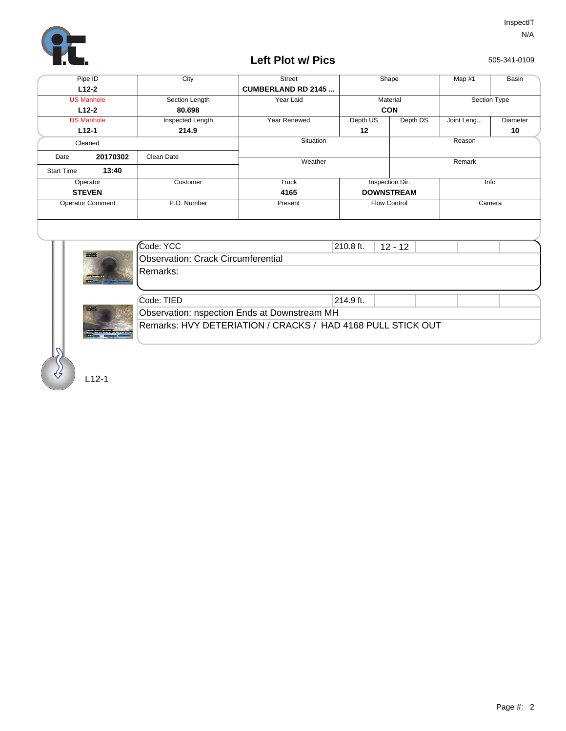

## **Left Plot w/ Pics**

505-341-0109

| Pipe ID                 |          | City             | <b>Street</b>             | Shape               |                         | Map #1       | Basin    |
|-------------------------|----------|------------------|---------------------------|---------------------|-------------------------|--------------|----------|
| $L12-2$                 |          |                  | <b>CUMBERLAND RD 2145</b> |                     |                         |              |          |
| <b>US Manhole</b>       |          | Section Length   | Year Laid                 | Material            |                         | Section Type |          |
| $L12-2$                 |          | 80.698           |                           | <b>CON</b>          |                         |              |          |
| <b>DS Manhole</b>       |          | Inspected Length | Year Renewed              | Depth US            | Depth DS                | Joint Leng   | Diameter |
|                         | $L12-1$  | 214.9            |                           | 12                  |                         |              | 10       |
| Cleaned                 |          |                  | Situation                 | Reason              |                         |              |          |
| Date                    | 20170302 | Clean Date       |                           |                     |                         |              |          |
|                         |          |                  | Weather                   |                     |                         | Remark       |          |
| <b>Start Time</b>       | 13:40    |                  |                           |                     |                         |              |          |
| Operator                |          | Customer         | Truck                     |                     | Inspection Dir.<br>Info |              |          |
| <b>STEVEN</b>           |          |                  | 4165                      | <b>DOWNSTREAM</b>   |                         |              |          |
| <b>Operator Comment</b> |          | P.O. Number      | Present                   | <b>Flow Control</b> |                         | Camera       |          |
|                         |          |                  |                           |                     |                         |              |          |
|                         |          |                  |                           |                     |                         |              |          |
| --                      |          |                  |                           |                     |                         |              |          |



|  | Code: YCC                                                   | $210.8$ ft. | $12 - 12$ |  |  |  |  |
|--|-------------------------------------------------------------|-------------|-----------|--|--|--|--|
|  | Observation: Crack Circumferential                          |             |           |  |  |  |  |
|  | IRemarks:                                                   |             |           |  |  |  |  |
|  |                                                             |             |           |  |  |  |  |
|  |                                                             |             |           |  |  |  |  |
|  | Code: TIED                                                  | $214.9$ ft. |           |  |  |  |  |
|  | Observation: nspection Ends at Downstream MH                |             |           |  |  |  |  |
|  | Remarks: HVY DETERIATION / CRACKS / HAD 4168 PULL STICK OUT |             |           |  |  |  |  |
|  |                                                             |             |           |  |  |  |  |

L12-1

 $\mathcal{S}$ 

mil.